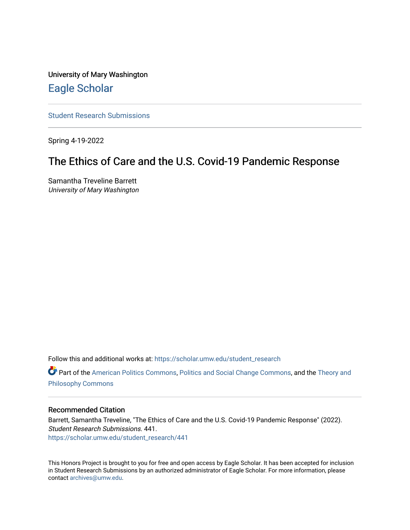University of Mary Washington [Eagle Scholar](https://scholar.umw.edu/) 

[Student Research Submissions](https://scholar.umw.edu/student_research) 

Spring 4-19-2022

# The Ethics of Care and the U.S. Covid-19 Pandemic Response

Samantha Treveline Barrett University of Mary Washington

Follow this and additional works at: [https://scholar.umw.edu/student\\_research](https://scholar.umw.edu/student_research?utm_source=scholar.umw.edu%2Fstudent_research%2F441&utm_medium=PDF&utm_campaign=PDFCoverPages)

**Part of the [American Politics Commons,](https://network.bepress.com/hgg/discipline/387?utm_source=scholar.umw.edu%2Fstudent_research%2F441&utm_medium=PDF&utm_campaign=PDFCoverPages) [Politics and Social Change Commons,](https://network.bepress.com/hgg/discipline/425?utm_source=scholar.umw.edu%2Fstudent_research%2F441&utm_medium=PDF&utm_campaign=PDFCoverPages) and the Theory and** [Philosophy Commons](https://network.bepress.com/hgg/discipline/1238?utm_source=scholar.umw.edu%2Fstudent_research%2F441&utm_medium=PDF&utm_campaign=PDFCoverPages) 

## Recommended Citation

Barrett, Samantha Treveline, "The Ethics of Care and the U.S. Covid-19 Pandemic Response" (2022). Student Research Submissions. 441. [https://scholar.umw.edu/student\\_research/441](https://scholar.umw.edu/student_research/441?utm_source=scholar.umw.edu%2Fstudent_research%2F441&utm_medium=PDF&utm_campaign=PDFCoverPages)

This Honors Project is brought to you for free and open access by Eagle Scholar. It has been accepted for inclusion in Student Research Submissions by an authorized administrator of Eagle Scholar. For more information, please contact [archives@umw.edu](mailto:archives@umw.edu).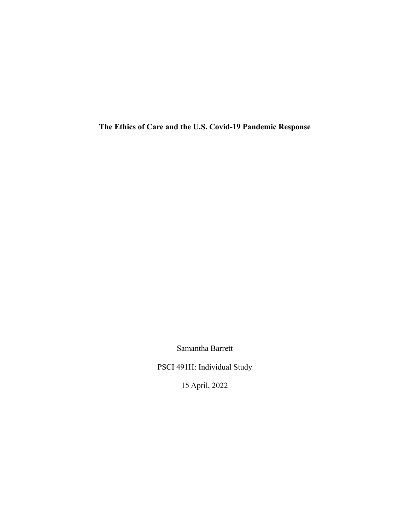**The Ethics of Care and the U.S. Covid-19 Pandemic Response**

Samantha Barrett

PSCI 491H: Individual Study

15 April, 2022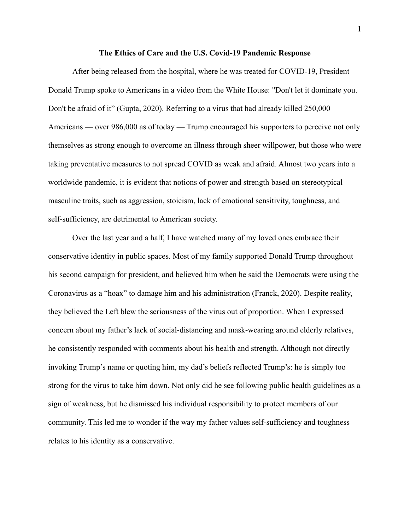### **The Ethics of Care and the U.S. Covid-19 Pandemic Response**

After being released from the hospital, where he was treated for COVID-19, President Donald Trump spoke to Americans in a video from the White House: "Don't let it dominate you. Don't be afraid of it" (Gupta, 2020). Referring to a virus that had already killed 250,000 Americans — over 986,000 as of today — Trump encouraged his supporters to perceive not only themselves as strong enough to overcome an illness through sheer willpower, but those who were taking preventative measures to not spread COVID as weak and afraid. Almost two years into a worldwide pandemic, it is evident that notions of power and strength based on stereotypical masculine traits, such as aggression, stoicism, lack of emotional sensitivity, toughness, and self-sufficiency, are detrimental to American society.

Over the last year and a half, I have watched many of my loved ones embrace their conservative identity in public spaces. Most of my family supported Donald Trump throughout his second campaign for president, and believed him when he said the Democrats were using the Coronavirus as a "hoax" to damage him and his administration (Franck, 2020). Despite reality, they believed the Left blew the seriousness of the virus out of proportion. When I expressed concern about my father's lack of social-distancing and mask-wearing around elderly relatives, he consistently responded with comments about his health and strength. Although not directly invoking Trump's name or quoting him, my dad's beliefs reflected Trump's: he is simply too strong for the virus to take him down. Not only did he see following public health guidelines as a sign of weakness, but he dismissed his individual responsibility to protect members of our community. This led me to wonder if the way my father values self-sufficiency and toughness relates to his identity as a conservative.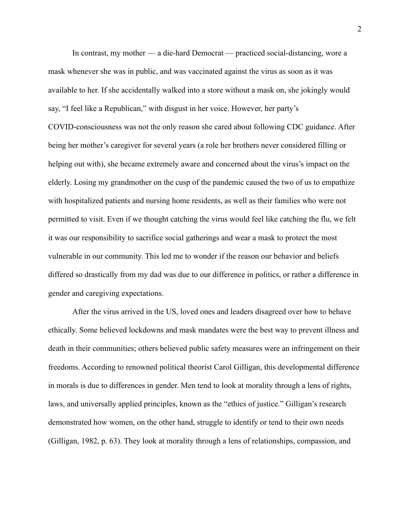In contrast, my mother — a die-hard Democrat — practiced social-distancing, wore a mask whenever she was in public, and was vaccinated against the virus as soon as it was available to her. If she accidentally walked into a store without a mask on, she jokingly would say, "I feel like a Republican," with disgust in her voice. However, her party's COVID-consciousness was not the only reason she cared about following CDC guidance. After being her mother's caregiver for several years (a role her brothers never considered filling or helping out with), she became extremely aware and concerned about the virus's impact on the elderly. Losing my grandmother on the cusp of the pandemic caused the two of us to empathize with hospitalized patients and nursing home residents, as well as their families who were not permitted to visit. Even if we thought catching the virus would feel like catching the flu, we felt it was our responsibility to sacrifice social gatherings and wear a mask to protect the most vulnerable in our community. This led me to wonder if the reason our behavior and beliefs differed so drastically from my dad was due to our difference in politics, or rather a difference in gender and caregiving expectations.

After the virus arrived in the US, loved ones and leaders disagreed over how to behave ethically. Some believed lockdowns and mask mandates were the best way to prevent illness and death in their communities; others believed public safety measures were an infringement on their freedoms. According to renowned political theorist Carol Gilligan, this developmental difference in morals is due to differences in gender. Men tend to look at morality through a lens of rights, laws, and universally applied principles, known as the "ethics of justice." Gilligan's research demonstrated how women, on the other hand, struggle to identify or tend to their own needs (Gilligan, 1982, p. 63). They look at morality through a lens of relationships, compassion, and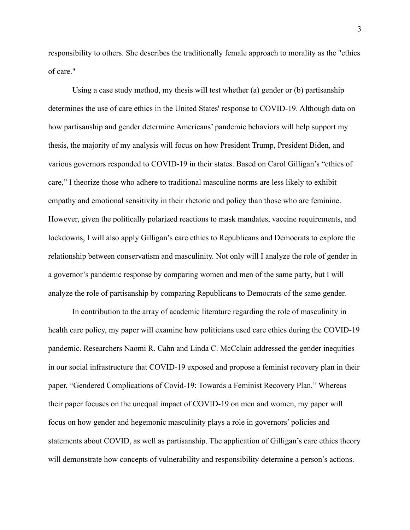responsibility to others. She describes the traditionally female approach to morality as the "ethics of care."

Using a case study method, my thesis will test whether (a) gender or (b) partisanship determines the use of care ethics in the United States' response to COVID-19. Although data on how partisanship and gender determine Americans' pandemic behaviors will help support my thesis, the majority of my analysis will focus on how President Trump, President Biden, and various governors responded to COVID-19 in their states. Based on Carol Gilligan's "ethics of care," I theorize those who adhere to traditional masculine norms are less likely to exhibit empathy and emotional sensitivity in their rhetoric and policy than those who are feminine. However, given the politically polarized reactions to mask mandates, vaccine requirements, and lockdowns, I will also apply Gilligan's care ethics to Republicans and Democrats to explore the relationship between conservatism and masculinity. Not only will I analyze the role of gender in a governor's pandemic response by comparing women and men of the same party, but I will analyze the role of partisanship by comparing Republicans to Democrats of the same gender.

In contribution to the array of academic literature regarding the role of masculinity in health care policy, my paper will examine how politicians used care ethics during the COVID-19 pandemic. Researchers Naomi R. Cahn and Linda C. McCclain addressed the gender inequities in our social infrastructure that COVID-19 exposed and propose a feminist recovery plan in their paper, "Gendered Complications of Covid-19: Towards a Feminist Recovery Plan." Whereas their paper focuses on the unequal impact of COVID-19 on men and women, my paper will focus on how gender and hegemonic masculinity plays a role in governors' policies and statements about COVID, as well as partisanship. The application of Gilligan's care ethics theory will demonstrate how concepts of vulnerability and responsibility determine a person's actions.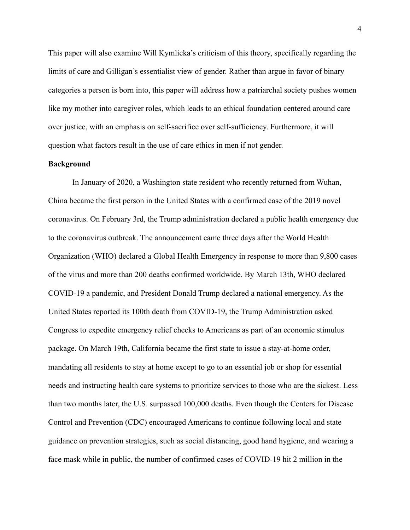This paper will also examine Will Kymlicka's criticism of this theory, specifically regarding the limits of care and Gilligan's essentialist view of gender. Rather than argue in favor of binary categories a person is born into, this paper will address how a patriarchal society pushes women like my mother into caregiver roles, which leads to an ethical foundation centered around care over justice, with an emphasis on self-sacrifice over self-sufficiency. Furthermore, it will question what factors result in the use of care ethics in men if not gender.

## **Background**

In January of 2020, a Washington state resident who recently returned from Wuhan, China became the first person in the United States with a confirmed case of the 2019 novel coronavirus. On February 3rd, the Trump administration declared a public health emergency due to the coronavirus outbreak. The announcement came three days after the World Health Organization (WHO) declared a Global Health Emergency in response to more than 9,800 cases of the virus and more than 200 deaths confirmed worldwide. By March 13th, WHO declared COVID-19 a pandemic, and President Donald Trump declared a national emergency. As the United States reported its 100th death from COVID-19, the Trump Administration asked Congress to expedite emergency relief checks to Americans as part of an economic stimulus package. On March 19th, California became the first state to issue a stay-at-home order, mandating all residents to stay at home except to go to an essential job or shop for essential needs and instructing health care systems to prioritize services to those who are the sickest. Less than two months later, the U.S. surpassed 100,000 deaths. Even though the Centers for Disease Control and Prevention (CDC) encouraged Americans to continue following local and state guidance on prevention strategies, such as social distancing, good hand hygiene, and wearing a face mask while in public, the number of confirmed cases of COVID-19 hit 2 million in the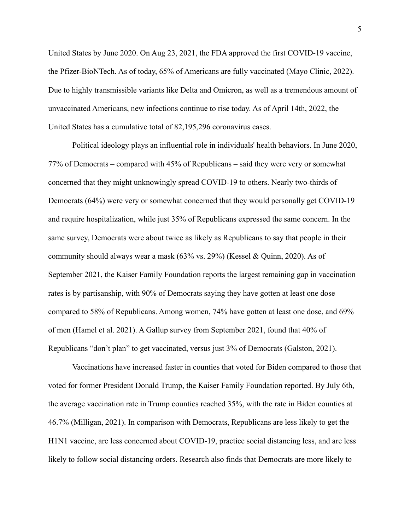United States by June 2020. On Aug 23, 2021, the FDA approved the first COVID-19 vaccine, the Pfizer-BioNTech. As of today, 65% of Americans are fully vaccinated (Mayo Clinic, 2022). Due to highly transmissible variants like Delta and Omicron, as well as a tremendous amount of unvaccinated Americans, new infections continue to rise today. As of April 14th, 2022, the United States has a cumulative total of 82,195,296 coronavirus cases.

Political ideology plays an influential role in individuals' health behaviors. In June 2020, 77% of Democrats – compared with 45% of Republicans – said they were very or somewhat concerned that they might unknowingly spread COVID-19 to others. Nearly two-thirds of Democrats (64%) were very or somewhat concerned that they would personally get COVID-19 and require hospitalization, while just 35% of Republicans expressed the same concern. In the same survey, Democrats were about twice as likely as Republicans to say that people in their community should always wear a mask  $(63\% \text{ vs. } 29\%)$  (Kessel & Quinn, 2020). As of September 2021, the Kaiser Family Foundation reports the largest remaining gap in vaccination rates is by partisanship, with 90% of Democrats saying they have gotten at least one dose compared to 58% of Republicans. Among women, 74% have gotten at least one dose, and 69% of men (Hamel et al. 2021). A Gallup survey from September 2021, found that 40% of Republicans "don't plan" to get vaccinated, versus just 3% of Democrats (Galston, 2021).

Vaccinations have increased faster in counties that voted for Biden compared to those that voted for former President Donald Trump, the Kaiser Family Foundation reported. By July 6th, the average vaccination rate in Trump counties reached 35%, with the rate in Biden counties at 46.7% (Milligan, 2021). In comparison with Democrats, Republicans are less likely to get the H1N1 vaccine, are less concerned about COVID-19, practice social distancing less, and are less likely to follow social distancing orders. Research also finds that Democrats are more likely to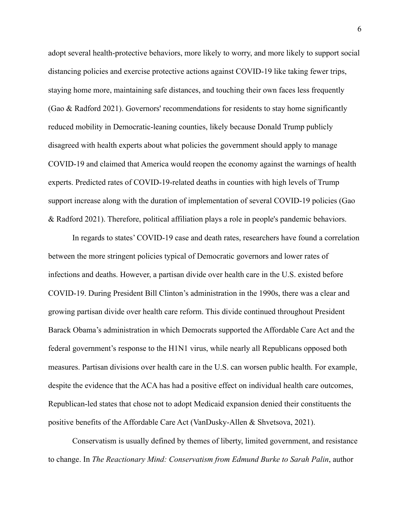adopt several health-protective behaviors, more likely to worry, and more likely to support social distancing policies and exercise protective actions against COVID-19 like taking fewer trips, staying home more, maintaining safe distances, and touching their own faces less frequently (Gao & Radford 2021). Governors' recommendations for residents to stay home significantly reduced mobility in Democratic-leaning counties, likely because Donald Trump publicly disagreed with health experts about what policies the government should apply to manage COVID-19 and claimed that America would reopen the economy against the warnings of health experts. Predicted rates of COVID-19-related deaths in counties with high levels of Trump support increase along with the duration of implementation of several COVID-19 policies (Gao & Radford 2021). Therefore, political affiliation plays a role in people's pandemic behaviors.

In regards to states' COVID-19 case and death rates, researchers have found a correlation between the more stringent policies typical of Democratic governors and lower rates of infections and deaths. However, a partisan divide over health care in the U.S. existed before COVID-19. During President Bill Clinton's administration in the 1990s, there was a clear and growing partisan divide over health care reform. This divide continued throughout President Barack Obama's administration in which Democrats supported the Affordable Care Act and the federal government's response to the H1N1 virus, while nearly all Republicans opposed both measures. Partisan divisions over health care in the U.S. can worsen public health. For example, despite the evidence that the ACA has had a positive effect on individual health care outcomes, Republican-led states that chose not to adopt Medicaid expansion denied their constituents the positive benefits of the Affordable Care Act (VanDusky-Allen & Shvetsova, 2021).

Conservatism is usually defined by themes of liberty, limited government, and resistance to change. In *The Reactionary Mind: Conservatism from Edmund Burke to Sarah Palin*, author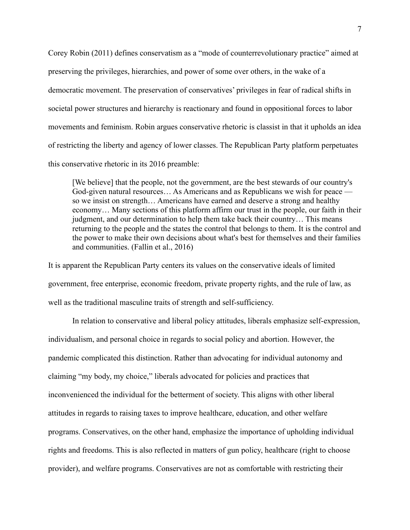Corey Robin (2011) defines conservatism as a "mode of counterrevolutionary practice" aimed at preserving the privileges, hierarchies, and power of some over others, in the wake of a democratic movement. The preservation of conservatives' privileges in fear of radical shifts in societal power structures and hierarchy is reactionary and found in oppositional forces to labor movements and feminism. Robin argues conservative rhetoric is classist in that it upholds an idea of restricting the liberty and agency of lower classes. The Republican Party platform perpetuates this conservative rhetoric in its 2016 preamble:

[We believe] that the people, not the government, are the best stewards of our country's God-given natural resources... As Americans and as Republicans we wish for peace so we insist on strength… Americans have earned and deserve a strong and healthy economy… Many sections of this platform affirm our trust in the people, our faith in their judgment, and our determination to help them take back their country… This means returning to the people and the states the control that belongs to them. It is the control and the power to make their own decisions about what's best for themselves and their families and communities. (Fallin et al., 2016)

It is apparent the Republican Party centers its values on the conservative ideals of limited government, free enterprise, economic freedom, private property rights, and the rule of law, as well as the traditional masculine traits of strength and self-sufficiency.

In relation to conservative and liberal policy attitudes, liberals emphasize self-expression, individualism, and personal choice in regards to social policy and abortion. However, the pandemic complicated this distinction. Rather than advocating for individual autonomy and claiming "my body, my choice," liberals advocated for policies and practices that inconvenienced the individual for the betterment of society. This aligns with other liberal attitudes in regards to raising taxes to improve healthcare, education, and other welfare programs. Conservatives, on the other hand, emphasize the importance of upholding individual rights and freedoms. This is also reflected in matters of gun policy, healthcare (right to choose provider), and welfare programs. Conservatives are not as comfortable with restricting their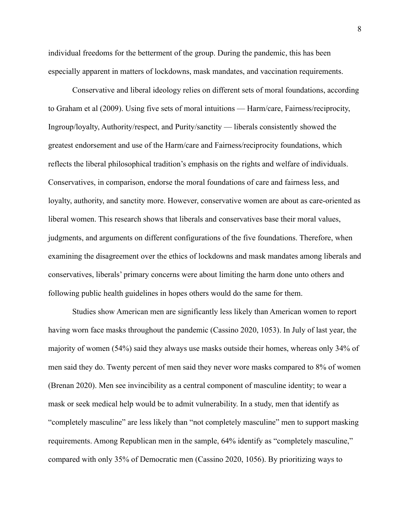individual freedoms for the betterment of the group. During the pandemic, this has been especially apparent in matters of lockdowns, mask mandates, and vaccination requirements.

Conservative and liberal ideology relies on different sets of moral foundations, according to Graham et al (2009). Using five sets of moral intuitions — Harm/care, Fairness/reciprocity, Ingroup/loyalty, Authority/respect, and Purity/sanctity — liberals consistently showed the greatest endorsement and use of the Harm/care and Fairness/reciprocity foundations, which reflects the liberal philosophical tradition's emphasis on the rights and welfare of individuals. Conservatives, in comparison, endorse the moral foundations of care and fairness less, and loyalty, authority, and sanctity more. However, conservative women are about as care-oriented as liberal women. This research shows that liberals and conservatives base their moral values, judgments, and arguments on different configurations of the five foundations. Therefore, when examining the disagreement over the ethics of lockdowns and mask mandates among liberals and conservatives, liberals' primary concerns were about limiting the harm done unto others and following public health guidelines in hopes others would do the same for them.

Studies show American men are significantly less likely than American women to report having worn face masks throughout the pandemic (Cassino 2020, 1053). In July of last year, the majority of women (54%) said they always use masks outside their homes, whereas only 34% of men said they do. Twenty percent of men said they never wore masks compared to 8% of women (Brenan 2020). Men see invincibility as a central component of masculine identity; to wear a mask or seek medical help would be to admit vulnerability. In a study, men that identify as "completely masculine" are less likely than "not completely masculine" men to support masking requirements. Among Republican men in the sample, 64% identify as "completely masculine," compared with only 35% of Democratic men (Cassino 2020, 1056). By prioritizing ways to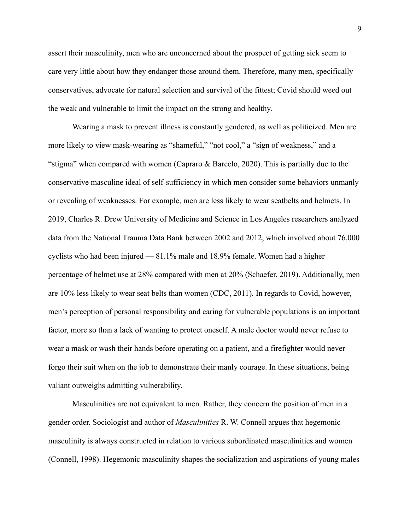assert their masculinity, men who are unconcerned about the prospect of getting sick seem to care very little about how they endanger those around them. Therefore, many men, specifically conservatives, advocate for natural selection and survival of the fittest; Covid should weed out the weak and vulnerable to limit the impact on the strong and healthy.

Wearing a mask to prevent illness is constantly gendered, as well as politicized. Men are more likely to view mask-wearing as "shameful," "not cool," a "sign of weakness," and a "stigma" when compared with women (Capraro  $\&$  Barcelo, 2020). This is partially due to the conservative masculine ideal of self-sufficiency in which men consider some behaviors unmanly or revealing of weaknesses. For example, men are less likely to wear seatbelts and helmets. In 2019, Charles R. Drew University of Medicine and Science in Los Angeles researchers analyzed data from the National Trauma Data Bank between 2002 and 2012, which involved about 76,000 cyclists who had been injured — 81.1% male and 18.9% female. Women had a higher percentage of helmet use at 28% compared with men at 20% (Schaefer, 2019). Additionally, men are 10% less likely to wear seat belts than women (CDC, 2011). In regards to Covid, however, men's perception of personal responsibility and caring for vulnerable populations is an important factor, more so than a lack of wanting to protect oneself. A male doctor would never refuse to wear a mask or wash their hands before operating on a patient, and a firefighter would never forgo their suit when on the job to demonstrate their manly courage. In these situations, being valiant outweighs admitting vulnerability.

Masculinities are not equivalent to men. Rather, they concern the position of men in a gender order. Sociologist and author of *Masculinities* R. W. Connell argues that hegemonic masculinity is always constructed in relation to various subordinated masculinities and women (Connell, 1998). Hegemonic masculinity shapes the socialization and aspirations of young males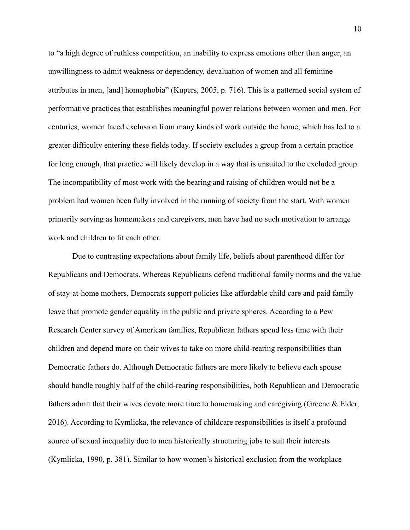to "a high degree of ruthless competition, an inability to express emotions other than anger, an unwillingness to admit weakness or dependency, devaluation of women and all feminine attributes in men, [and] homophobia" (Kupers, 2005, p. 716). This is a patterned social system of performative practices that establishes meaningful power relations between women and men. For centuries, women faced exclusion from many kinds of work outside the home, which has led to a greater difficulty entering these fields today. If society excludes a group from a certain practice for long enough, that practice will likely develop in a way that is unsuited to the excluded group. The incompatibility of most work with the bearing and raising of children would not be a problem had women been fully involved in the running of society from the start. With women primarily serving as homemakers and caregivers, men have had no such motivation to arrange work and children to fit each other.

Due to contrasting expectations about family life, beliefs about parenthood differ for Republicans and Democrats. Whereas Republicans defend traditional family norms and the value of stay-at-home mothers, Democrats support policies like affordable child care and paid family leave that promote gender equality in the public and private spheres. According to a Pew Research Center survey of American families, Republican fathers spend less time with their children and depend more on their wives to take on more child-rearing responsibilities than Democratic fathers do. Although Democratic fathers are more likely to believe each spouse should handle roughly half of the child-rearing responsibilities, both Republican and Democratic fathers admit that their wives devote more time to homemaking and caregiving (Greene & Elder, 2016). According to Kymlicka, the relevance of childcare responsibilities is itself a profound source of sexual inequality due to men historically structuring jobs to suit their interests (Kymlicka, 1990, p. 381). Similar to how women's historical exclusion from the workplace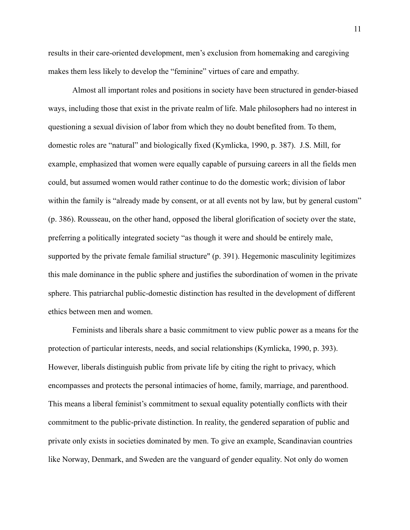results in their care-oriented development, men's exclusion from homemaking and caregiving makes them less likely to develop the "feminine" virtues of care and empathy.

Almost all important roles and positions in society have been structured in gender-biased ways, including those that exist in the private realm of life. Male philosophers had no interest in questioning a sexual division of labor from which they no doubt benefited from. To them, domestic roles are "natural" and biologically fixed (Kymlicka, 1990, p. 387). J.S. Mill, for example, emphasized that women were equally capable of pursuing careers in all the fields men could, but assumed women would rather continue to do the domestic work; division of labor within the family is "already made by consent, or at all events not by law, but by general custom" (p. 386). Rousseau, on the other hand, opposed the liberal glorification of society over the state, preferring a politically integrated society "as though it were and should be entirely male, supported by the private female familial structure" (p. 391). Hegemonic masculinity legitimizes this male dominance in the public sphere and justifies the subordination of women in the private sphere. This patriarchal public-domestic distinction has resulted in the development of different ethics between men and women.

Feminists and liberals share a basic commitment to view public power as a means for the protection of particular interests, needs, and social relationships (Kymlicka, 1990, p. 393). However, liberals distinguish public from private life by citing the right to privacy, which encompasses and protects the personal intimacies of home, family, marriage, and parenthood. This means a liberal feminist's commitment to sexual equality potentially conflicts with their commitment to the public-private distinction. In reality, the gendered separation of public and private only exists in societies dominated by men. To give an example, Scandinavian countries like Norway, Denmark, and Sweden are the vanguard of gender equality. Not only do women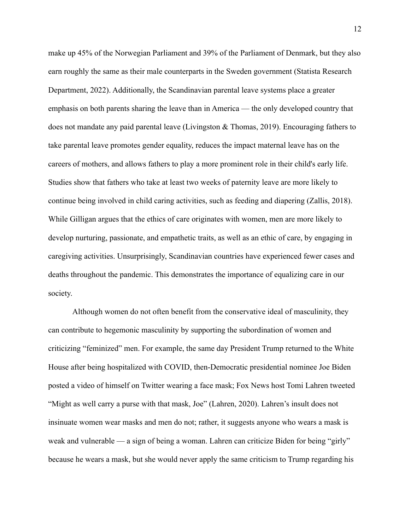make up 45% of the Norwegian Parliament and 39% of the Parliament of Denmark, but they also earn roughly the same as their male counterparts in the Sweden government (Statista Research Department, 2022). Additionally, the Scandinavian parental leave systems place a greater emphasis on both parents sharing the leave than in America — the only developed country that does not mandate any paid parental leave (Livingston & Thomas, 2019). Encouraging fathers to take parental leave promotes gender equality, reduces the impact maternal leave has on the careers of mothers, and allows fathers to play a more prominent role in their child's early life. Studies show that fathers who take at least two weeks of paternity leave are more likely to continue being involved in child caring activities, such as feeding and diapering (Zallis, 2018). While Gilligan argues that the ethics of care originates with women, men are more likely to develop nurturing, passionate, and empathetic traits, as well as an ethic of care, by engaging in caregiving activities. Unsurprisingly, Scandinavian countries have experienced fewer cases and deaths throughout the pandemic. This demonstrates the importance of equalizing care in our society.

Although women do not often benefit from the conservative ideal of masculinity, they can contribute to hegemonic masculinity by supporting the subordination of women and criticizing "feminized" men. For example, the same day President Trump returned to the White House after being hospitalized with COVID, then-Democratic presidential nominee Joe Biden posted a video of himself on Twitter wearing a face mask; Fox News host Tomi Lahren tweeted "Might as well carry a purse with that mask, Joe" (Lahren, 2020). Lahren's insult does not insinuate women wear masks and men do not; rather, it suggests anyone who wears a mask is weak and vulnerable — a sign of being a woman. Lahren can criticize Biden for being "girly" because he wears a mask, but she would never apply the same criticism to Trump regarding his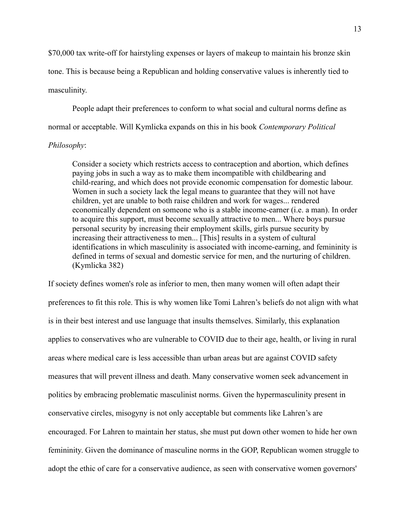\$70,000 tax write-off for hairstyling expenses or layers of makeup to maintain his bronze skin tone. This is because being a Republican and holding conservative values is inherently tied to masculinity.

People adapt their preferences to conform to what social and cultural norms define as normal or acceptable. Will Kymlicka expands on this in his book *Contemporary Political*

## *Philosophy*:

Consider a society which restricts access to contraception and abortion, which defines paying jobs in such a way as to make them incompatible with childbearing and child-rearing, and which does not provide economic compensation for domestic labour. Women in such a society lack the legal means to guarantee that they will not have children, yet are unable to both raise children and work for wages... rendered economically dependent on someone who is a stable income-earner (i.e. a man). In order to acquire this support, must become sexually attractive to men... Where boys pursue personal security by increasing their employment skills, girls pursue security by increasing their attractiveness to men... [This] results in a system of cultural identifications in which masculinity is associated with income-earning, and femininity is defined in terms of sexual and domestic service for men, and the nurturing of children. (Kymlicka 382)

If society defines women's role as inferior to men, then many women will often adapt their preferences to fit this role. This is why women like Tomi Lahren's beliefs do not align with what is in their best interest and use language that insults themselves. Similarly, this explanation applies to conservatives who are vulnerable to COVID due to their age, health, or living in rural areas where medical care is less accessible than urban areas but are against COVID safety measures that will prevent illness and death. Many conservative women seek advancement in politics by embracing problematic masculinist norms. Given the hypermasculinity present in conservative circles, misogyny is not only acceptable but comments like Lahren's are encouraged. For Lahren to maintain her status, she must put down other women to hide her own femininity. Given the dominance of masculine norms in the GOP, Republican women struggle to adopt the ethic of care for a conservative audience, as seen with conservative women governors'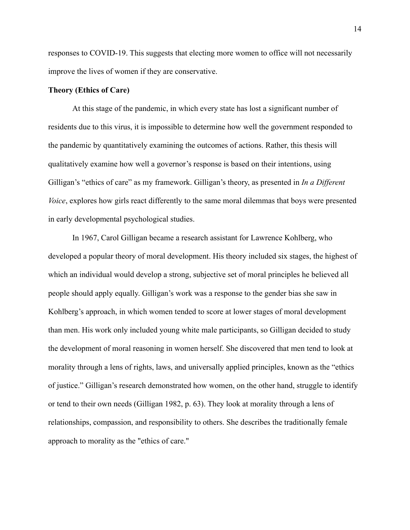responses to COVID-19. This suggests that electing more women to office will not necessarily improve the lives of women if they are conservative.

## **Theory (Ethics of Care)**

At this stage of the pandemic, in which every state has lost a significant number of residents due to this virus, it is impossible to determine how well the government responded to the pandemic by quantitatively examining the outcomes of actions. Rather, this thesis will qualitatively examine how well a governor's response is based on their intentions, using Gilligan's "ethics of care" as my framework. Gilligan's theory, as presented in *In a Different Voice*, explores how girls react differently to the same moral dilemmas that boys were presented in early developmental psychological studies.

In 1967, Carol Gilligan became a research assistant for Lawrence Kohlberg, who developed a popular theory of moral development. His theory included six stages, the highest of which an individual would develop a strong, subjective set of moral principles he believed all people should apply equally. Gilligan's work was a response to the gender bias she saw in Kohlberg's approach, in which women tended to score at lower stages of moral development than men. His work only included young white male participants, so Gilligan decided to study the development of moral reasoning in women herself. She discovered that men tend to look at morality through a lens of rights, laws, and universally applied principles, known as the "ethics of justice." Gilligan's research demonstrated how women, on the other hand, struggle to identify or tend to their own needs (Gilligan 1982, p. 63). They look at morality through a lens of relationships, compassion, and responsibility to others. She describes the traditionally female approach to morality as the "ethics of care."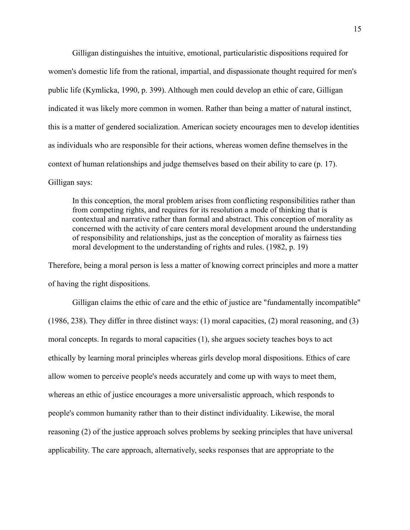Gilligan distinguishes the intuitive, emotional, particularistic dispositions required for women's domestic life from the rational, impartial, and dispassionate thought required for men's public life (Kymlicka, 1990, p. 399). Although men could develop an ethic of care, Gilligan indicated it was likely more common in women. Rather than being a matter of natural instinct, this is a matter of gendered socialization. American society encourages men to develop identities as individuals who are responsible for their actions, whereas women define themselves in the context of human relationships and judge themselves based on their ability to care (p. 17). Gilligan says:

In this conception, the moral problem arises from conflicting responsibilities rather than from competing rights, and requires for its resolution a mode of thinking that is contextual and narrative rather than formal and abstract. This conception of morality as concerned with the activity of care centers moral development around the understanding of responsibility and relationships, just as the conception of morality as fairness ties moral development to the understanding of rights and rules. (1982, p. 19)

Therefore, being a moral person is less a matter of knowing correct principles and more a matter of having the right dispositions.

Gilligan claims the ethic of care and the ethic of justice are "fundamentally incompatible" (1986, 238). They differ in three distinct ways: (1) moral capacities, (2) moral reasoning, and (3) moral concepts. In regards to moral capacities (1), she argues society teaches boys to act ethically by learning moral principles whereas girls develop moral dispositions. Ethics of care allow women to perceive people's needs accurately and come up with ways to meet them, whereas an ethic of justice encourages a more universalistic approach, which responds to people's common humanity rather than to their distinct individuality. Likewise, the moral reasoning (2) of the justice approach solves problems by seeking principles that have universal applicability. The care approach, alternatively, seeks responses that are appropriate to the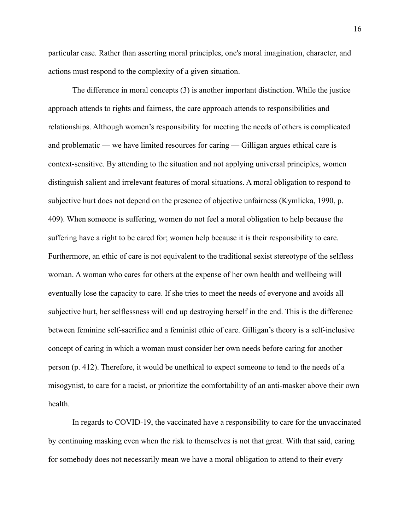particular case. Rather than asserting moral principles, one's moral imagination, character, and actions must respond to the complexity of a given situation.

The difference in moral concepts (3) is another important distinction. While the justice approach attends to rights and fairness, the care approach attends to responsibilities and relationships. Although women's responsibility for meeting the needs of others is complicated and problematic — we have limited resources for caring — Gilligan argues ethical care is context-sensitive. By attending to the situation and not applying universal principles, women distinguish salient and irrelevant features of moral situations. A moral obligation to respond to subjective hurt does not depend on the presence of objective unfairness (Kymlicka, 1990, p. 409). When someone is suffering, women do not feel a moral obligation to help because the suffering have a right to be cared for; women help because it is their responsibility to care. Furthermore, an ethic of care is not equivalent to the traditional sexist stereotype of the selfless woman. A woman who cares for others at the expense of her own health and wellbeing will eventually lose the capacity to care. If she tries to meet the needs of everyone and avoids all subjective hurt, her selflessness will end up destroying herself in the end. This is the difference between feminine self-sacrifice and a feminist ethic of care. Gilligan's theory is a self-inclusive concept of caring in which a woman must consider her own needs before caring for another person (p. 412). Therefore, it would be unethical to expect someone to tend to the needs of a misogynist, to care for a racist, or prioritize the comfortability of an anti-masker above their own health.

In regards to COVID-19, the vaccinated have a responsibility to care for the unvaccinated by continuing masking even when the risk to themselves is not that great. With that said, caring for somebody does not necessarily mean we have a moral obligation to attend to their every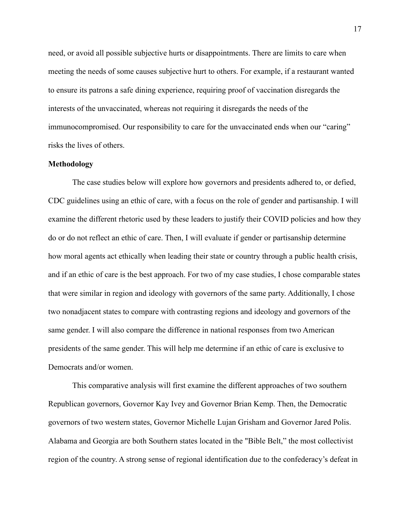need, or avoid all possible subjective hurts or disappointments. There are limits to care when meeting the needs of some causes subjective hurt to others. For example, if a restaurant wanted to ensure its patrons a safe dining experience, requiring proof of vaccination disregards the interests of the unvaccinated, whereas not requiring it disregards the needs of the immunocompromised. Our responsibility to care for the unvaccinated ends when our "caring" risks the lives of others.

#### **Methodology**

The case studies below will explore how governors and presidents adhered to, or defied, CDC guidelines using an ethic of care, with a focus on the role of gender and partisanship. I will examine the different rhetoric used by these leaders to justify their COVID policies and how they do or do not reflect an ethic of care. Then, I will evaluate if gender or partisanship determine how moral agents act ethically when leading their state or country through a public health crisis, and if an ethic of care is the best approach. For two of my case studies, I chose comparable states that were similar in region and ideology with governors of the same party. Additionally, I chose two nonadjacent states to compare with contrasting regions and ideology and governors of the same gender. I will also compare the difference in national responses from two American presidents of the same gender. This will help me determine if an ethic of care is exclusive to Democrats and/or women.

This comparative analysis will first examine the different approaches of two southern Republican governors, Governor Kay Ivey and Governor Brian Kemp. Then, the Democratic governors of two western states, Governor Michelle Lujan Grisham and Governor Jared Polis. Alabama and Georgia are both Southern states located in the "Bible Belt," the most collectivist region of the country. A strong sense of regional identification due to the confederacy's defeat in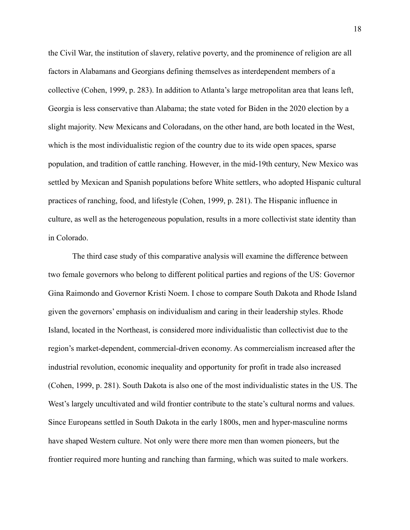the Civil War, the institution of slavery, relative poverty, and the prominence of religion are all factors in Alabamans and Georgians defining themselves as interdependent members of a collective (Cohen, 1999, p. 283). In addition to Atlanta's large metropolitan area that leans left, Georgia is less conservative than Alabama; the state voted for Biden in the 2020 election by a slight majority. New Mexicans and Coloradans, on the other hand, are both located in the West, which is the most individualistic region of the country due to its wide open spaces, sparse population, and tradition of cattle ranching. However, in the mid-19th century, New Mexico was settled by Mexican and Spanish populations before White settlers, who adopted Hispanic cultural practices of ranching, food, and lifestyle (Cohen, 1999, p. 281). The Hispanic influence in culture, as well as the heterogeneous population, results in a more collectivist state identity than in Colorado.

The third case study of this comparative analysis will examine the difference between two female governors who belong to different political parties and regions of the US: Governor Gina Raimondo and Governor Kristi Noem. I chose to compare South Dakota and Rhode Island given the governors' emphasis on individualism and caring in their leadership styles. Rhode Island, located in the Northeast, is considered more individualistic than collectivist due to the region's market-dependent, commercial-driven economy. As commercialism increased after the industrial revolution, economic inequality and opportunity for profit in trade also increased (Cohen, 1999, p. 281). South Dakota is also one of the most individualistic states in the US. The West's largely uncultivated and wild frontier contribute to the state's cultural norms and values. Since Europeans settled in South Dakota in the early 1800s, men and hyper-masculine norms have shaped Western culture. Not only were there more men than women pioneers, but the frontier required more hunting and ranching than farming, which was suited to male workers.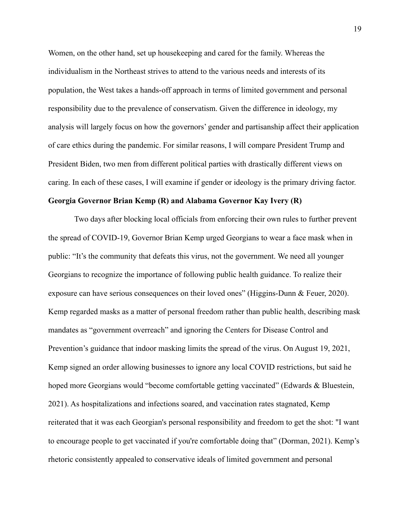Women, on the other hand, set up housekeeping and cared for the family. Whereas the individualism in the Northeast strives to attend to the various needs and interests of its population, the West takes a hands-off approach in terms of limited government and personal responsibility due to the prevalence of conservatism. Given the difference in ideology, my analysis will largely focus on how the governors' gender and partisanship affect their application of care ethics during the pandemic. For similar reasons, I will compare President Trump and President Biden, two men from different political parties with drastically different views on caring. In each of these cases, I will examine if gender or ideology is the primary driving factor.

## **Georgia Governor Brian Kemp (R) and Alabama Governor Kay Ivery (R)**

Two days after blocking local officials from enforcing their own rules to further prevent the spread of COVID-19, Governor Brian Kemp urged Georgians to wear a face mask when in public: "It's the community that defeats this virus, not the government. We need all younger Georgians to recognize the importance of following public health guidance. To realize their exposure can have serious consequences on their loved ones" (Higgins-Dunn & Feuer, 2020). Kemp regarded masks as a matter of personal freedom rather than public health, describing mask mandates as "government overreach" and ignoring the Centers for Disease Control and Prevention's guidance that indoor masking limits the spread of the virus. On August 19, 2021, Kemp signed an order allowing businesses to ignore any local COVID restrictions, but said he hoped more Georgians would "become comfortable getting vaccinated" (Edwards & Bluestein, 2021). As hospitalizations and infections soared, and vaccination rates stagnated, Kemp reiterated that it was each Georgian's personal responsibility and freedom to get the shot: "I want to encourage people to get vaccinated if you're comfortable doing that" (Dorman, 2021). Kemp's rhetoric consistently appealed to conservative ideals of limited government and personal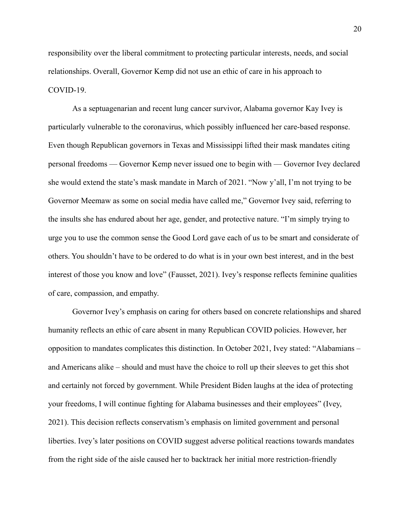responsibility over the liberal commitment to protecting particular interests, needs, and social relationships. Overall, Governor Kemp did not use an ethic of care in his approach to COVID-19.

As a septuagenarian and recent lung cancer survivor, Alabama governor Kay Ivey is particularly vulnerable to the coronavirus, which possibly influenced her care-based response. Even though Republican governors in Texas and Mississippi lifted their mask mandates citing personal freedoms — Governor Kemp never issued one to begin with — Governor Ivey declared she would extend the state's mask mandate in March of 2021. "Now y'all, I'm not trying to be Governor Meemaw as some on social media have called me," Governor Ivey said, referring to the insults she has endured about her age, gender, and protective nature. "I'm simply trying to urge you to use the common sense the Good Lord gave each of us to be smart and considerate of others. You shouldn't have to be ordered to do what is in your own best interest, and in the best interest of those you know and love" (Fausset, 2021). Ivey's response reflects feminine qualities of care, compassion, and empathy.

Governor Ivey's emphasis on caring for others based on concrete relationships and shared humanity reflects an ethic of care absent in many Republican COVID policies. However, her opposition to mandates complicates this distinction. In October 2021, Ivey stated: "Alabamians – and Americans alike – should and must have the choice to roll up their sleeves to get this shot and certainly not forced by government. While President Biden laughs at the idea of protecting your freedoms, I will continue fighting for Alabama businesses and their employees" (Ivey, 2021). This decision reflects conservatism's emphasis on limited government and personal liberties. Ivey's later positions on COVID suggest adverse political reactions towards mandates from the right side of the aisle caused her to backtrack her initial more restriction-friendly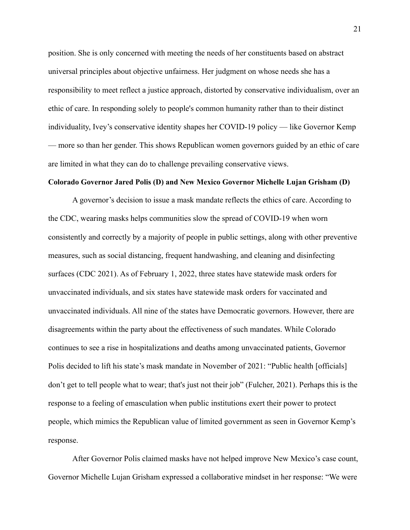position. She is only concerned with meeting the needs of her constituents based on abstract universal principles about objective unfairness. Her judgment on whose needs she has a responsibility to meet reflect a justice approach, distorted by conservative individualism, over an ethic of care. In responding solely to people's common humanity rather than to their distinct individuality, Ivey's conservative identity shapes her COVID-19 policy — like Governor Kemp — more so than her gender. This shows Republican women governors guided by an ethic of care are limited in what they can do to challenge prevailing conservative views.

## **Colorado Governor Jared Polis (D) and New Mexico Governor Michelle Lujan Grisham (D)**

A governor's decision to issue a mask mandate reflects the ethics of care. According to the CDC, wearing masks helps communities slow the spread of COVID-19 when worn consistently and correctly by a majority of people in public settings, along with other preventive measures, such as social distancing, frequent handwashing, and cleaning and disinfecting surfaces (CDC 2021). As of February 1, 2022, three states have statewide mask orders for unvaccinated individuals, and six states have statewide mask orders for vaccinated and unvaccinated individuals. All nine of the states have Democratic governors. However, there are disagreements within the party about the effectiveness of such mandates. While Colorado continues to see a rise in hospitalizations and deaths among unvaccinated patients, Governor Polis decided to lift his state's mask mandate in November of 2021: "Public health [officials] don't get to tell people what to wear; that's just not their job" (Fulcher, 2021). Perhaps this is the response to a feeling of emasculation when public institutions exert their power to protect people, which mimics the Republican value of limited government as seen in Governor Kemp's response.

After Governor Polis claimed masks have not helped improve New Mexico's case count, Governor Michelle Lujan Grisham expressed a collaborative mindset in her response: "We were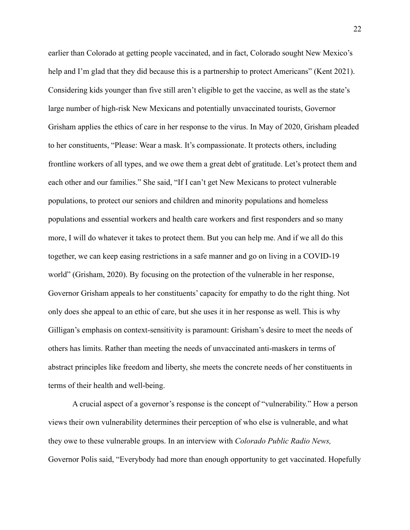earlier than Colorado at getting people vaccinated, and in fact, Colorado sought New Mexico's help and I'm glad that they did because this is a partnership to protect Americans" (Kent 2021). Considering kids younger than five still aren't eligible to get the vaccine, as well as the state's large number of high-risk New Mexicans and potentially unvaccinated tourists, Governor Grisham applies the ethics of care in her response to the virus. In May of 2020, Grisham pleaded to her constituents, "Please: Wear a mask. It's compassionate. It protects others, including frontline workers of all types, and we owe them a great debt of gratitude. Let's protect them and each other and our families." She said, "If I can't get New Mexicans to protect vulnerable populations, to protect our seniors and children and minority populations and homeless populations and essential workers and health care workers and first responders and so many more, I will do whatever it takes to protect them. But you can help me. And if we all do this together, we can keep easing restrictions in a safe manner and go on living in a COVID-19 world" (Grisham, 2020). By focusing on the protection of the vulnerable in her response, Governor Grisham appeals to her constituents' capacity for empathy to do the right thing. Not only does she appeal to an ethic of care, but she uses it in her response as well. This is why Gilligan's emphasis on context-sensitivity is paramount: Grisham's desire to meet the needs of others has limits. Rather than meeting the needs of unvaccinated anti-maskers in terms of abstract principles like freedom and liberty, she meets the concrete needs of her constituents in terms of their health and well-being.

A crucial aspect of a governor's response is the concept of "vulnerability." How a person views their own vulnerability determines their perception of who else is vulnerable, and what they owe to these vulnerable groups. In an interview with *Colorado Public Radio News,* Governor Polis said, "Everybody had more than enough opportunity to get vaccinated. Hopefully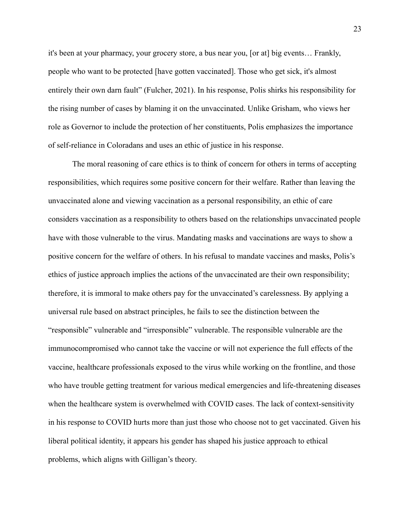it's been at your pharmacy, your grocery store, a bus near you, [or at] big events… Frankly, people who want to be protected [have gotten vaccinated]. Those who get sick, it's almost entirely their own darn fault" (Fulcher, 2021). In his response, Polis shirks his responsibility for the rising number of cases by blaming it on the unvaccinated. Unlike Grisham, who views her role as Governor to include the protection of her constituents, Polis emphasizes the importance of self-reliance in Coloradans and uses an ethic of justice in his response.

The moral reasoning of care ethics is to think of concern for others in terms of accepting responsibilities, which requires some positive concern for their welfare. Rather than leaving the unvaccinated alone and viewing vaccination as a personal responsibility, an ethic of care considers vaccination as a responsibility to others based on the relationships unvaccinated people have with those vulnerable to the virus. Mandating masks and vaccinations are ways to show a positive concern for the welfare of others. In his refusal to mandate vaccines and masks, Polis's ethics of justice approach implies the actions of the unvaccinated are their own responsibility; therefore, it is immoral to make others pay for the unvaccinated's carelessness. By applying a universal rule based on abstract principles, he fails to see the distinction between the "responsible" vulnerable and "irresponsible" vulnerable. The responsible vulnerable are the immunocompromised who cannot take the vaccine or will not experience the full effects of the vaccine, healthcare professionals exposed to the virus while working on the frontline, and those who have trouble getting treatment for various medical emergencies and life-threatening diseases when the healthcare system is overwhelmed with COVID cases. The lack of context-sensitivity in his response to COVID hurts more than just those who choose not to get vaccinated. Given his liberal political identity, it appears his gender has shaped his justice approach to ethical problems, which aligns with Gilligan's theory.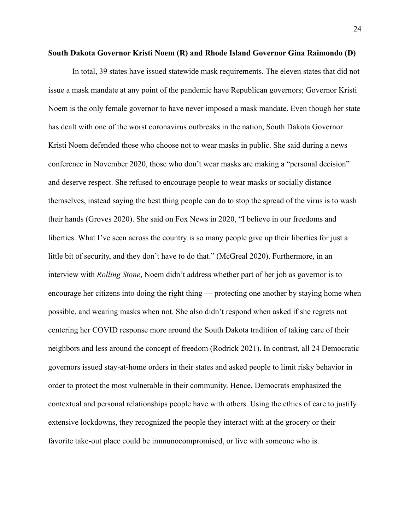#### **South Dakota Governor Kristi Noem (R) and Rhode Island Governor Gina Raimondo (D)**

In total, 39 states have issued statewide mask requirements. The eleven states that did not issue a mask mandate at any point of the pandemic have Republican governors; Governor Kristi Noem is the only female governor to have never imposed a mask mandate. Even though her state has dealt with one of the worst coronavirus outbreaks in the nation, South Dakota Governor Kristi Noem defended those who choose not to wear masks in public. She said during a news conference in November 2020, those who don't wear masks are making a "personal decision" and deserve respect. She refused to encourage people to wear masks or socially distance themselves, instead saying the best thing people can do to stop the spread of the virus is to wash their hands (Groves 2020). She said on Fox News in 2020, "I believe in our freedoms and liberties. What I've seen across the country is so many people give up their liberties for just a little bit of security, and they don't have to do that." (McGreal 2020). Furthermore, in an interview with *Rolling Stone*, Noem didn't address whether part of her job as governor is to encourage her citizens into doing the right thing — protecting one another by staying home when possible, and wearing masks when not. She also didn't respond when asked if she regrets not centering her COVID response more around the South Dakota tradition of taking care of their neighbors and less around the concept of freedom (Rodrick 2021). In contrast, all 24 Democratic governors issued stay-at-home orders in their states and asked people to limit risky behavior in order to protect the most vulnerable in their community. Hence, Democrats emphasized the contextual and personal relationships people have with others. Using the ethics of care to justify extensive lockdowns, they recognized the people they interact with at the grocery or their favorite take-out place could be immunocompromised, or live with someone who is.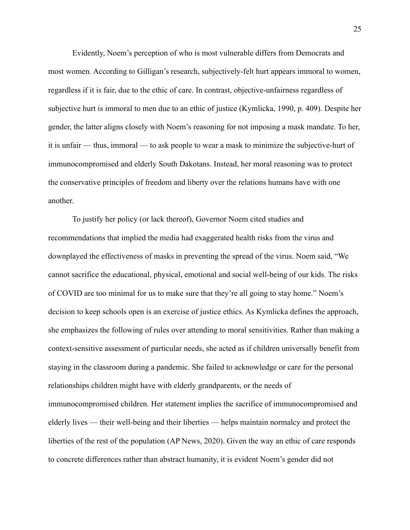Evidently, Noem's perception of who is most vulnerable differs from Democrats and most women. According to Gilligan's research, subjectively-felt hurt appears immoral to women, regardless if it is fair, due to the ethic of care. In contrast, objective-unfairness regardless of subjective hurt is immoral to men due to an ethic of justice (Kymlicka, 1990, p. 409). Despite her gender, the latter aligns closely with Noem's reasoning for not imposing a mask mandate. To her, it is unfair — thus, immoral — to ask people to wear a mask to minimize the subjective-hurt of immunocompromised and elderly South Dakotans. Instead, her moral reasoning was to protect the conservative principles of freedom and liberty over the relations humans have with one another.

To justify her policy (or lack thereof), Governor Noem cited studies and recommendations that implied the media had exaggerated health risks from the virus and downplayed the effectiveness of masks in preventing the spread of the virus. Noem said, "We cannot sacrifice the educational, physical, emotional and social well-being of our kids. The risks of COVID are too minimal for us to make sure that they're all going to stay home." Noem's decision to keep schools open is an exercise of justice ethics. As Kymlicka defines the approach, she emphasizes the following of rules over attending to moral sensitivities. Rather than making a context-sensitive assessment of particular needs, she acted as if children universally benefit from staying in the classroom during a pandemic. She failed to acknowledge or care for the personal relationships children might have with elderly grandparents, or the needs of immunocompromised children. Her statement implies the sacrifice of immunocompromised and elderly lives — their well-being and their liberties — helps maintain normalcy and protect the liberties of the rest of the population (AP News, 2020). Given the way an ethic of care responds to concrete differences rather than abstract humanity, it is evident Noem's gender did not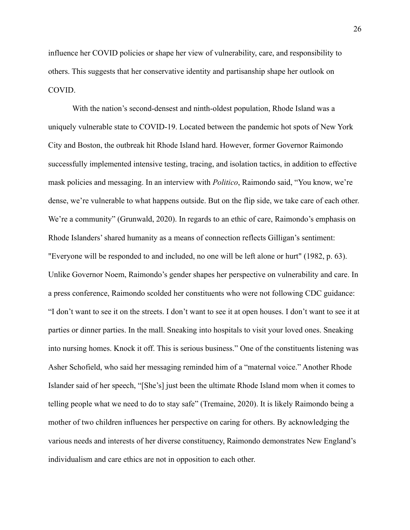influence her COVID policies or shape her view of vulnerability, care, and responsibility to others. This suggests that her conservative identity and partisanship shape her outlook on COVID.

With the nation's second-densest and ninth-oldest population, Rhode Island was a uniquely vulnerable state to COVID-19. Located between the pandemic hot spots of New York City and Boston, the outbreak hit Rhode Island hard. However, former Governor Raimondo successfully implemented intensive testing, tracing, and isolation tactics, in addition to effective mask policies and messaging. In an interview with *Politico*, Raimondo said, "You know, we're dense, we're vulnerable to what happens outside. But on the flip side, we take care of each other. We're a community" (Grunwald, 2020). In regards to an ethic of care, Raimondo's emphasis on Rhode Islanders' shared humanity as a means of connection reflects Gilligan's sentiment: "Everyone will be responded to and included, no one will be left alone or hurt" (1982, p. 63). Unlike Governor Noem, Raimondo's gender shapes her perspective on vulnerability and care. In a press conference, Raimondo scolded her constituents who were not following CDC guidance: "I don't want to see it on the streets. I don't want to see it at open houses. I don't want to see it at parties or dinner parties. In the mall. Sneaking into hospitals to visit your loved ones. Sneaking into nursing homes. Knock it off. This is serious business." One of the constituents listening was Asher Schofield, who said her messaging reminded him of a "maternal voice." Another Rhode Islander said of her speech, "[She's] just been the ultimate Rhode Island mom when it comes to telling people what we need to do to stay safe" (Tremaine, 2020). It is likely Raimondo being a mother of two children influences her perspective on caring for others. By acknowledging the various needs and interests of her diverse constituency, Raimondo demonstrates New England's individualism and care ethics are not in opposition to each other.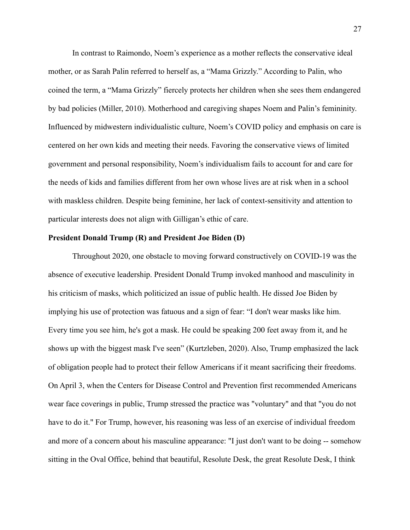In contrast to Raimondo, Noem's experience as a mother reflects the conservative ideal mother, or as Sarah Palin referred to herself as, a "Mama Grizzly." According to Palin, who coined the term, a "Mama Grizzly" fiercely protects her children when she sees them endangered by bad policies (Miller, 2010). Motherhood and caregiving shapes Noem and Palin's femininity. Influenced by midwestern individualistic culture, Noem's COVID policy and emphasis on care is centered on her own kids and meeting their needs. Favoring the conservative views of limited government and personal responsibility, Noem's individualism fails to account for and care for the needs of kids and families different from her own whose lives are at risk when in a school with maskless children. Despite being feminine, her lack of context-sensitivity and attention to particular interests does not align with Gilligan's ethic of care.

### **President Donald Trump (R) and President Joe Biden (D)**

Throughout 2020, one obstacle to moving forward constructively on COVID-19 was the absence of executive leadership. President Donald Trump invoked manhood and masculinity in his criticism of masks, which politicized an issue of public health. He dissed Joe Biden by implying his use of protection was fatuous and a sign of fear: "I don't wear masks like him. Every time you see him, he's got a mask. He could be speaking 200 feet away from it, and he shows up with the biggest mask I've seen" (Kurtzleben, 2020). Also, Trump emphasized the lack of obligation people had to protect their fellow Americans if it meant sacrificing their freedoms. On April 3, when the Centers for Disease Control and Prevention first recommended Americans wear face coverings in public, Trump stressed the practice was "voluntary" and that "you do not have to do it." For Trump, however, his reasoning was less of an exercise of individual freedom and more of a concern about his masculine appearance: "I just don't want to be doing -- somehow sitting in the Oval Office, behind that beautiful, Resolute Desk, the great Resolute Desk, I think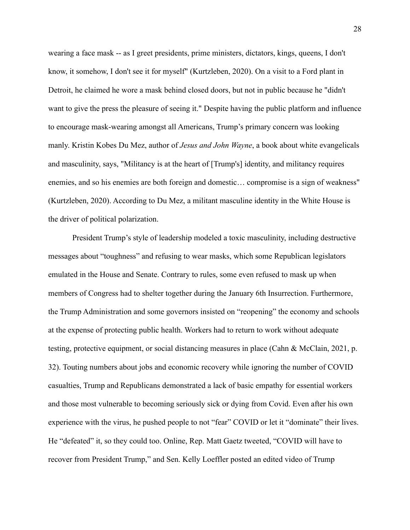wearing a face mask -- as I greet presidents, prime ministers, dictators, kings, queens, I don't know, it somehow, I don't see it for myself" (Kurtzleben, 2020). On a visit to a Ford plant in Detroit, he claimed he wore a mask behind closed doors, but not in public because he "didn't want to give the press the pleasure of seeing it." Despite having the public platform and influence to encourage mask-wearing amongst all Americans, Trump's primary concern was looking manly. Kristin Kobes Du Mez, author of *Jesus and John Wayne*, a book about white evangelicals and masculinity, says, "Militancy is at the heart of [Trump's] identity, and militancy requires enemies, and so his enemies are both foreign and domestic… compromise is a sign of weakness" (Kurtzleben, 2020). According to Du Mez, a militant masculine identity in the White House is the driver of political polarization.

President Trump's style of leadership modeled a toxic masculinity, including destructive messages about "toughness" and refusing to wear masks, which some Republican legislators emulated in the House and Senate. Contrary to rules, some even refused to mask up when members of Congress had to shelter together during the January 6th Insurrection. Furthermore, the Trump Administration and some governors insisted on "reopening" the economy and schools at the expense of protecting public health. Workers had to return to work without adequate testing, protective equipment, or social distancing measures in place (Cahn & McClain, 2021, p. 32). Touting numbers about jobs and economic recovery while ignoring the number of COVID casualties, Trump and Republicans demonstrated a lack of basic empathy for essential workers and those most vulnerable to becoming seriously sick or dying from Covid. Even after his own experience with the virus, he pushed people to not "fear" COVID or let it "dominate" their lives. He "defeated" it, so they could too. Online, Rep. Matt Gaetz tweeted, "COVID will have to recover from President Trump," and Sen. Kelly Loeffler posted an edited video of Trump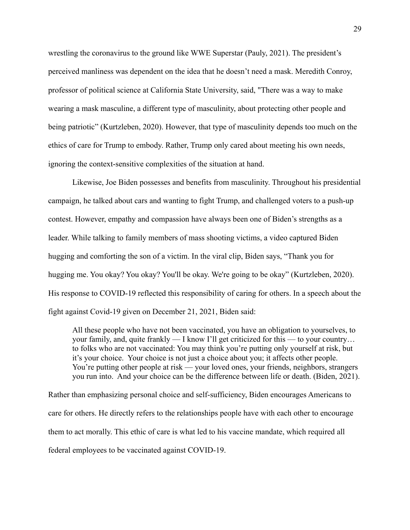wrestling the coronavirus to the ground like WWE Superstar (Pauly, 2021). The president's perceived manliness was dependent on the idea that he doesn't need a mask. Meredith Conroy, professor of political science at California State University, said, "There was a way to make wearing a mask masculine, a different type of masculinity, about protecting other people and being patriotic" (Kurtzleben, 2020). However, that type of masculinity depends too much on the ethics of care for Trump to embody. Rather, Trump only cared about meeting his own needs, ignoring the context-sensitive complexities of the situation at hand.

Likewise, Joe Biden possesses and benefits from masculinity. Throughout his presidential campaign, he talked about cars and wanting to fight Trump, and challenged voters to a push-up contest. However, empathy and compassion have always been one of Biden's strengths as a leader. While talking to family members of mass shooting victims, a video captured Biden hugging and comforting the son of a victim. In the viral clip, Biden says, "Thank you for hugging me. You okay? You okay? You'll be okay. We're going to be okay" (Kurtzleben, 2020). His response to COVID-19 reflected this responsibility of caring for others. In a speech about the fight against Covid-19 given on December 21, 2021, Biden said:

All these people who have not been vaccinated, you have an obligation to yourselves, to your family, and, quite frankly — I know I'll get criticized for this — to your country… to folks who are not vaccinated: You may think you're putting only yourself at risk, but it's your choice. Your choice is not just a choice about you; it affects other people. You're putting other people at risk — your loved ones, your friends, neighbors, strangers you run into. And your choice can be the difference between life or death. (Biden, 2021).

Rather than emphasizing personal choice and self-sufficiency, Biden encourages Americans to care for others. He directly refers to the relationships people have with each other to encourage them to act morally. This ethic of care is what led to his vaccine mandate, which required all federal employees to be vaccinated against COVID-19.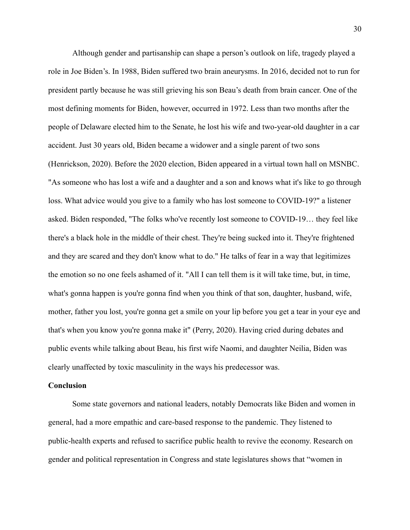Although gender and partisanship can shape a person's outlook on life, tragedy played a role in Joe Biden's. In 1988, Biden suffered two brain aneurysms. In 2016, decided not to run for president partly because he was still grieving his son Beau's death from brain cancer. One of the most defining moments for Biden, however, occurred in 1972. Less than two months after the people of Delaware elected him to the Senate, he lost his wife and two-year-old daughter in a car accident. Just 30 years old, Biden became a widower and a single parent of two sons (Henrickson, 2020). Before the 2020 election, Biden appeared in a virtual town hall on MSNBC. "As someone who has lost a wife and a daughter and a son and knows what it's like to go through loss. What advice would you give to a family who has lost someone to COVID-19?" a listener asked. Biden responded, "The folks who've recently lost someone to COVID-19… they feel like there's a black hole in the middle of their chest. They're being sucked into it. They're frightened and they are scared and they don't know what to do." He talks of fear in a way that legitimizes the emotion so no one feels ashamed of it. "All I can tell them is it will take time, but, in time, what's gonna happen is you're gonna find when you think of that son, daughter, husband, wife, mother, father you lost, you're gonna get a smile on your lip before you get a tear in your eye and that's when you know you're gonna make it" (Perry, 2020). Having cried during debates and public events while talking about Beau, his first wife Naomi, and daughter Neilia, Biden was clearly unaffected by toxic masculinity in the ways his predecessor was.

## **Conclusion**

Some state governors and national leaders, notably Democrats like Biden and women in general, had a more empathic and care-based response to the pandemic. They listened to public-health experts and refused to sacrifice public health to revive the economy. Research on gender and political representation in Congress and state legislatures shows that "women in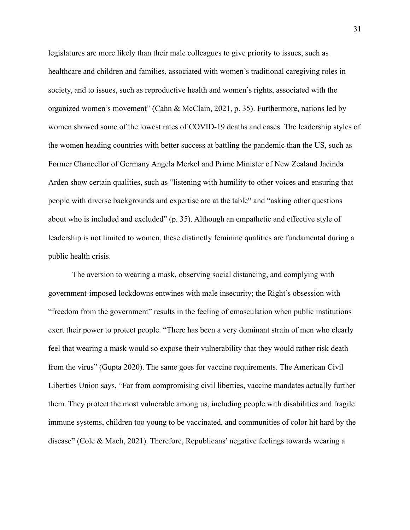legislatures are more likely than their male colleagues to give priority to issues, such as healthcare and children and families, associated with women's traditional caregiving roles in society, and to issues, such as reproductive health and women's rights, associated with the organized women's movement" (Cahn & McClain, 2021, p. 35). Furthermore, nations led by women showed some of the lowest rates of COVID-19 deaths and cases. The leadership styles of the women heading countries with better success at battling the pandemic than the US, such as Former Chancellor of Germany Angela Merkel and Prime Minister of New Zealand Jacinda Arden show certain qualities, such as "listening with humility to other voices and ensuring that people with diverse backgrounds and expertise are at the table" and "asking other questions about who is included and excluded" (p. 35). Although an empathetic and effective style of leadership is not limited to women, these distinctly feminine qualities are fundamental during a public health crisis.

The aversion to wearing a mask, observing social distancing, and complying with government-imposed lockdowns entwines with male insecurity; the Right's obsession with "freedom from the government" results in the feeling of emasculation when public institutions exert their power to protect people. "There has been a very dominant strain of men who clearly feel that wearing a mask would so expose their vulnerability that they would rather risk death from the virus" (Gupta 2020). The same goes for vaccine requirements. The American Civil Liberties Union says, "Far from compromising civil liberties, vaccine mandates actually further them. They protect the most vulnerable among us, including people with disabilities and fragile immune systems, children too young to be vaccinated, and communities of color hit hard by the disease" (Cole & Mach, 2021). Therefore, Republicans' negative feelings towards wearing a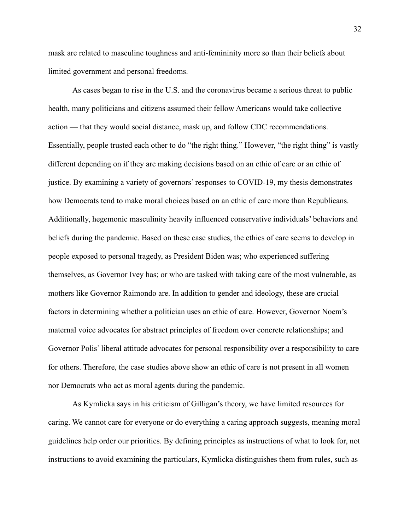mask are related to masculine toughness and anti-femininity more so than their beliefs about limited government and personal freedoms.

As cases began to rise in the U.S. and the coronavirus became a serious threat to public health, many politicians and citizens assumed their fellow Americans would take collective action — that they would social distance, mask up, and follow CDC recommendations. Essentially, people trusted each other to do "the right thing." However, "the right thing" is vastly different depending on if they are making decisions based on an ethic of care or an ethic of justice. By examining a variety of governors' responses to COVID-19, my thesis demonstrates how Democrats tend to make moral choices based on an ethic of care more than Republicans. Additionally, hegemonic masculinity heavily influenced conservative individuals' behaviors and beliefs during the pandemic. Based on these case studies, the ethics of care seems to develop in people exposed to personal tragedy, as President Biden was; who experienced suffering themselves, as Governor Ivey has; or who are tasked with taking care of the most vulnerable, as mothers like Governor Raimondo are. In addition to gender and ideology, these are crucial factors in determining whether a politician uses an ethic of care. However, Governor Noem's maternal voice advocates for abstract principles of freedom over concrete relationships; and Governor Polis' liberal attitude advocates for personal responsibility over a responsibility to care for others. Therefore, the case studies above show an ethic of care is not present in all women nor Democrats who act as moral agents during the pandemic.

As Kymlicka says in his criticism of Gilligan's theory, we have limited resources for caring. We cannot care for everyone or do everything a caring approach suggests, meaning moral guidelines help order our priorities. By defining principles as instructions of what to look for, not instructions to avoid examining the particulars, Kymlicka distinguishes them from rules, such as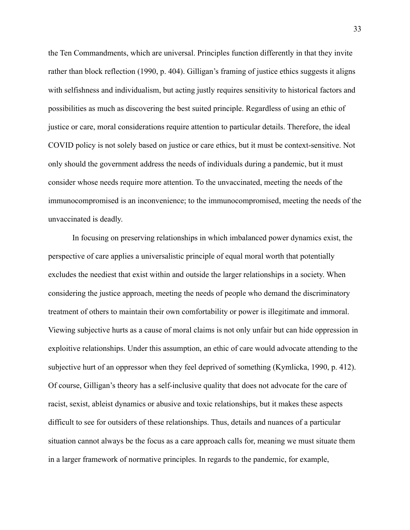the Ten Commandments, which are universal. Principles function differently in that they invite rather than block reflection (1990, p. 404). Gilligan's framing of justice ethics suggests it aligns with selfishness and individualism, but acting justly requires sensitivity to historical factors and possibilities as much as discovering the best suited principle. Regardless of using an ethic of justice or care, moral considerations require attention to particular details. Therefore, the ideal COVID policy is not solely based on justice or care ethics, but it must be context-sensitive. Not only should the government address the needs of individuals during a pandemic, but it must consider whose needs require more attention. To the unvaccinated, meeting the needs of the immunocompromised is an inconvenience; to the immunocompromised, meeting the needs of the unvaccinated is deadly.

In focusing on preserving relationships in which imbalanced power dynamics exist, the perspective of care applies a universalistic principle of equal moral worth that potentially excludes the neediest that exist within and outside the larger relationships in a society. When considering the justice approach, meeting the needs of people who demand the discriminatory treatment of others to maintain their own comfortability or power is illegitimate and immoral. Viewing subjective hurts as a cause of moral claims is not only unfair but can hide oppression in exploitive relationships. Under this assumption, an ethic of care would advocate attending to the subjective hurt of an oppressor when they feel deprived of something (Kymlicka, 1990, p. 412). Of course, Gilligan's theory has a self-inclusive quality that does not advocate for the care of racist, sexist, ableist dynamics or abusive and toxic relationships, but it makes these aspects difficult to see for outsiders of these relationships. Thus, details and nuances of a particular situation cannot always be the focus as a care approach calls for, meaning we must situate them in a larger framework of normative principles. In regards to the pandemic, for example,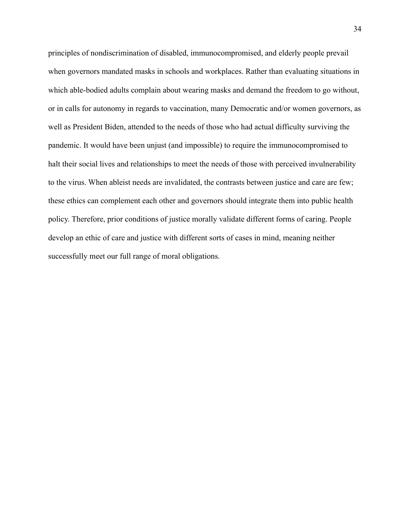principles of nondiscrimination of disabled, immunocompromised, and elderly people prevail when governors mandated masks in schools and workplaces. Rather than evaluating situations in which able-bodied adults complain about wearing masks and demand the freedom to go without, or in calls for autonomy in regards to vaccination, many Democratic and/or women governors, as well as President Biden, attended to the needs of those who had actual difficulty surviving the pandemic. It would have been unjust (and impossible) to require the immunocompromised to halt their social lives and relationships to meet the needs of those with perceived invulnerability to the virus. When ableist needs are invalidated, the contrasts between justice and care are few; these ethics can complement each other and governors should integrate them into public health policy. Therefore, prior conditions of justice morally validate different forms of caring. People develop an ethic of care and justice with different sorts of cases in mind, meaning neither successfully meet our full range of moral obligations.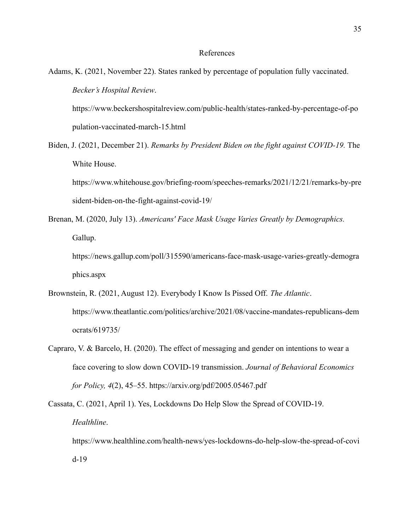### References

Adams, K. (2021, November 22). States ranked by percentage of population fully vaccinated. *Becker's Hospital Review*.

https://www.beckershospitalreview.com/public-health/states-ranked-by-percentage-of-po pulation-vaccinated-march-15.html

Biden, J. (2021, December 21). *Remarks by President Biden on the fight against COVID-19.* The White House.

https://www.whitehouse.gov/briefing-room/speeches-remarks/2021/12/21/remarks-by-pre sident-biden-on-the-fight-against-covid-19/

Brenan, M. (2020, July 13). *Americans' Face Mask Usage Varies Greatly by Demographics.* Gallup.

https://news.gallup.com/poll/315590/americans-face-mask-usage-varies-greatly-demogra phics.aspx

- Brownstein, R. (2021, August 12). Everybody I Know Is Pissed Off. *The Atlantic*. https://www.theatlantic.com/politics/archive/2021/08/vaccine-mandates-republicans-dem ocrats/619735/
- Capraro, V. & Barcelo, H. (2020). The effect of messaging and gender on intentions to wear a face covering to slow down COVID-19 transmission. *Journal of Behavioral Economics for Policy, 4*(2), 45–55. https://arxiv.org/pdf/2005.05467.pdf

Cassata, C. (2021, April 1). Yes, Lockdowns Do Help Slow the Spread of COVID-19. *Healthline*. https://www.healthline.com/health-news/yes-lockdowns-do-help-slow-the-spread-of-covi d-19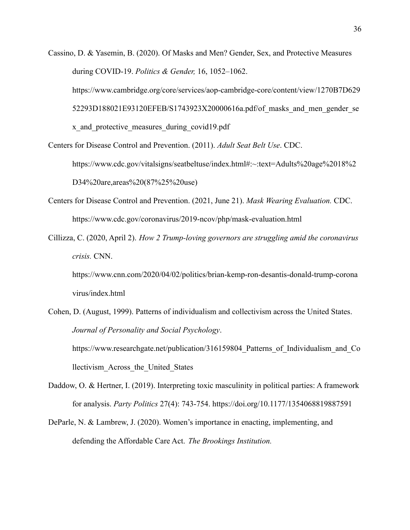- Cassino, D. & Yasemin, B. (2020). Of Masks and Men? Gender, Sex, and Protective Measures during COVID-19. *Politics & Gender,* 16, 1052–1062. https://www.cambridge.org/core/services/aop-cambridge-core/content/view/1270B7D629 52293D188021E93120EFEB/S1743923X20000616a.pdf/of\_masks\_and\_men\_gender\_se x\_and\_protective\_measures\_during\_covid19.pdf
- Centers for Disease Control and Prevention. (2011). *Adult Seat Belt Use*. CDC. https://www.cdc.gov/vitalsigns/seatbeltuse/index.html#:~:text=Adults%20age%2018%2 D34%20are,areas%20(87%25%20use)
- Centers for Disease Control and Prevention. (2021, June 21). *Mask Wearing Evaluation.* CDC. https://www.cdc.gov/coronavirus/2019-ncov/php/mask-evaluation.html
- Cillizza, C. (2020, April 2). *How 2 Trump-loving governors are struggling amid the coronavirus crisis.* CNN.

https://www.cnn.com/2020/04/02/politics/brian-kemp-ron-desantis-donald-trump-corona virus/index.html

- Cohen, D. (August, 1999). Patterns of individualism and collectivism across the United States. *Journal of Personality and Social Psychology*. https://www.researchgate.net/publication/316159804 Patterns of Individualism and Co llectivism\_Across\_the\_United\_States
- Daddow, O. & Hertner, I. (2019). Interpreting toxic masculinity in political parties: A framework for analysis. *Party Politics* 27(4): 743-754. https://doi.org/10.1177/1354068819887591
- DeParle, N. & Lambrew, J. (2020). Women's importance in enacting, implementing, and defending the Affordable Care Act. *The Brookings Institution.*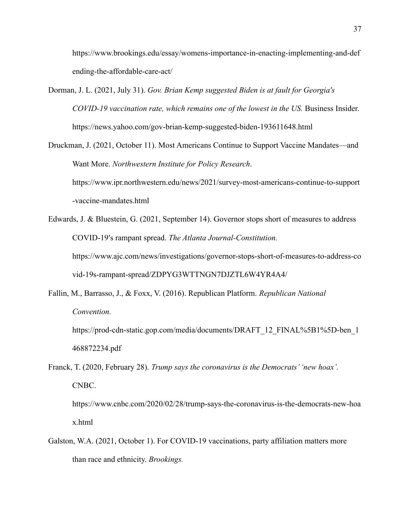https://www.brookings.edu/essay/womens-importance-in-enacting-implementing-and-def ending-the-affordable-care-act/

Dorman, J. L. (2021, July 31). *Gov. Brian Kemp suggested Biden is at fault for Georgia's COVID-19 vaccination rate, which remains one of the lowest in the US.* Business Insider. https://news.yahoo.com/gov-brian-kemp-suggested-biden-193611648.html

Druckman, J. (2021, October 11). Most Americans Continue to Support Vaccine Mandates—and Want More. *Northwestern Institute for Policy Research*. https://www.ipr.northwestern.edu/news/2021/survey-most-americans-continue-to-support -vaccine-mandates.html

Edwards, J. & Bluestein, G. (2021, September 14). Governor stops short of measures to address COVID-19′s rampant spread. *The Atlanta Journal-Constitution.* https://www.ajc.com/news/investigations/governor-stops-short-of-measures-to-address-co vid-19s-rampant-spread/ZDPYG3WTTNGN7DJZTL6W4YR4A4/

Fallin, M., Barrasso, J., & Foxx, V. (2016). Republican Platform. *Republican National Convention.*

https://prod-cdn-static.gop.com/media/documents/DRAFT\_12\_FINAL%5B1%5D-ben\_1 468872234.pdf

Franck, T. (2020, February 28). *Trump says the coronavirus is the Democrats' 'new hoax'.* CNBC.

https://www.cnbc.com/2020/02/28/trump-says-the-coronavirus-is-the-democrats-new-hoa x.html

Galston, W.A. (2021, October 1). For COVID-19 vaccinations, party affiliation matters more than race and ethnicity. *Brookings.*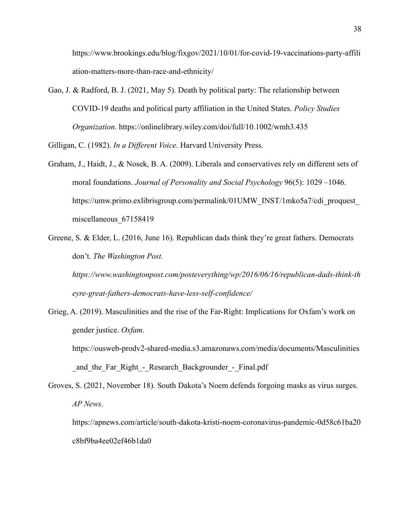https://www.brookings.edu/blog/fixgov/2021/10/01/for-covid-19-vaccinations-party-affili ation-matters-more-than-race-and-ethnicity/

Gao, J. & Radford, B. J. (2021, May 5). Death by political party: The relationship between COVID-19 deaths and political party affiliation in the United States. *Policy Studies Organization*. https://onlinelibrary.wiley.com/doi/full/10.1002/wmh3.435

Gilligan, C. (1982). *In a Different Voice*. Harvard University Press.

- Graham, J., Haidt, J., & Nosek, B. A. (2009). Liberals and conservatives rely on different sets of moral foundations. *Journal of Personality and Social Psychology* 96(5): 1029 –1046. https://umw.primo.exlibrisgroup.com/permalink/01UMW\_INST/1mko5a7/cdi\_proquest miscellaneous\_67158419
- Greene, S. & Elder, L. (2016, June 16). Republican dads think they're great fathers. Democrats don't. *The Washington Post.*

*https://www.washingtonpost.com/posteverything/wp/2016/06/16/republican-dads-think-th eyre-great-fathers-democrats-have-less-self-confidence/*

- Grieg, A. (2019). Masculinities and the rise of the Far-Right: Implications for Oxfam's work on gender justice. *Oxfam*.
	- https://ousweb-prodv2-shared-media.s3.amazonaws.com/media/documents/Masculinities and the Far Right - Research Backgrounder - Final.pdf
- Groves, S. (2021, November 18). South Dakota's Noem defends forgoing masks as virus surges. *AP News*.

https://apnews.com/article/south-dakota-kristi-noem-coronavirus-pandemic-0d58c61ba20 c8bf9ba4ee02ef46b1da0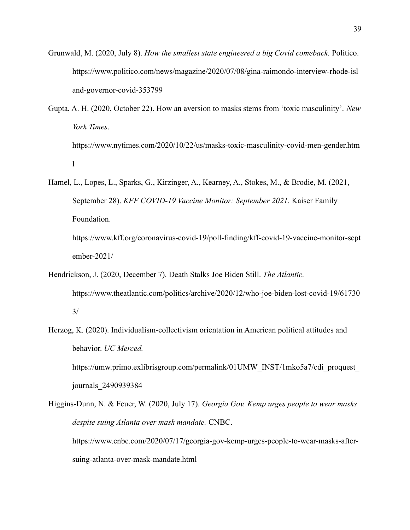- Grunwald, M. (2020, July 8). *How the smallest state engineered a big Covid comeback.* Politico. https://www.politico.com/news/magazine/2020/07/08/gina-raimondo-interview-rhode-isl and-governor-covid-353799
- Gupta, A. H. (2020, October 22). How an aversion to masks stems from 'toxic masculinity'. *New York Times*. https://www.nytimes.com/2020/10/22/us/masks-toxic-masculinity-covid-men-gender.htm l
- Hamel, L., Lopes, L., Sparks, G., Kirzinger, A., Kearney, A., Stokes, M., & Brodie, M. (2021, September 28). *KFF COVID-19 Vaccine Monitor: September 2021.* Kaiser Family Foundation. https://www.kff.org/coronavirus-covid-19/poll-finding/kff-covid-19-vaccine-monitor-sept

ember-2021/

- Hendrickson, J. (2020, December 7). Death Stalks Joe Biden Still. *The Atlantic.* https://www.theatlantic.com/politics/archive/2020/12/who-joe-biden-lost-covid-19/61730 3/
- Herzog, K. (2020). Individualism-collectivism orientation in American political attitudes and behavior. *UC Merced.* https://umw.primo.exlibrisgroup.com/permalink/01UMW\_INST/1mko5a7/cdi\_proquest\_ journals\_2490939384

Higgins-Dunn, N. & Feuer, W. (2020, July 17). *Georgia Gov. Kemp urges people to wear masks despite suing Atlanta over mask mandate.* CNBC. https://www.cnbc.com/2020/07/17/georgia-gov-kemp-urges-people-to-wear-masks-aftersuing-atlanta-over-mask-mandate.html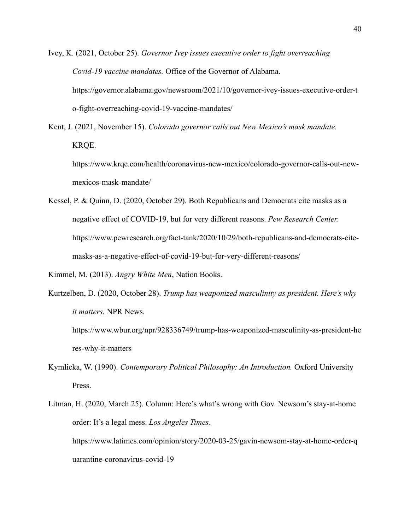Ivey, K. (2021, October 25). *Governor Ivey issues executive order to fight overreaching Covid-19 vaccine mandates.* Office of the Governor of Alabama. https://governor.alabama.gov/newsroom/2021/10/governor-ivey-issues-executive-order-t o-fight-overreaching-covid-19-vaccine-mandates/

Kent, J. (2021, November 15). *Colorado governor calls out New Mexico's mask mandate.* KRQE.

https://www.krqe.com/health/coronavirus-new-mexico/colorado-governor-calls-out-newmexicos-mask-mandate/

Kessel, P. & Quinn, D. (2020, October 29). Both Republicans and Democrats cite masks as a negative effect of COVID-19, but for very different reasons. *Pew Research Center.* https://www.pewresearch.org/fact-tank/2020/10/29/both-republicans-and-democrats-citemasks-as-a-negative-effect-of-covid-19-but-for-very-different-reasons/

Kimmel, M. (2013). *Angry White Men*, Nation Books.

Kurtzelben, D. (2020, October 28). *Trump has weaponized masculinity as president. Here's why it matters.* NPR News.

https://www.wbur.org/npr/928336749/trump-has-weaponized-masculinity-as-president-he res-why-it-matters

Kymlicka, W. (1990). *Contemporary Political Philosophy: An Introduction.* Oxford University Press.

Litman, H. (2020, March 25). Column: Here's what's wrong with Gov. Newsom's stay-at-home order: It's a legal mess. *Los Angeles Times*. https://www.latimes.com/opinion/story/2020-03-25/gavin-newsom-stay-at-home-order-q uarantine-coronavirus-covid-19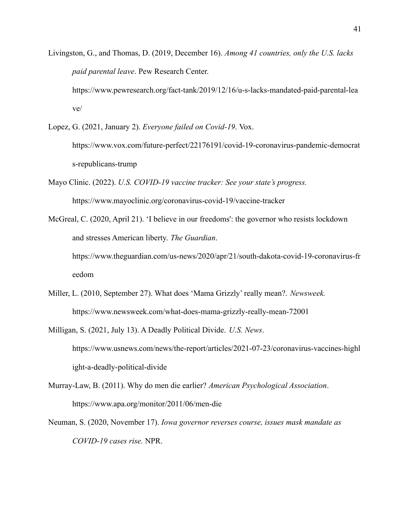- Livingston, G., and Thomas, D. (2019, December 16). *Among 41 countries, only the U.S. lacks paid parental leave*. Pew Research Center. https://www.pewresearch.org/fact-tank/2019/12/16/u-s-lacks-mandated-paid-parental-lea ve/
- Lopez, G. (2021, January 2). *Everyone failed on Covid-19*. Vox. https://www.vox.com/future-perfect/22176191/covid-19-coronavirus-pandemic-democrat s-republicans-trump
- Mayo Clinic. (2022). *U.S. COVID-19 vaccine tracker: See your state's progress.* https://www.mayoclinic.org/coronavirus-covid-19/vaccine-tracker
- McGreal, C. (2020, April 21). 'I believe in our freedoms': the governor who resists lockdown and stresses American liberty. *The Guardian*. https://www.theguardian.com/us-news/2020/apr/21/south-dakota-covid-19-coronavirus-fr eedom
- Miller, L. (2010, September 27). What does 'Mama Grizzly' really mean?. *Newsweek.* https://www.newsweek.com/what-does-mama-grizzly-really-mean-72001
- Milligan, S. (2021, July 13). A Deadly Political Divide. *U.S. News*. https://www.usnews.com/news/the-report/articles/2021-07-23/coronavirus-vaccines-highl ight-a-deadly-political-divide
- Murray-Law, B. (2011). Why do men die earlier? *American Psychological Association*. https://www.apa.org/monitor/2011/06/men-die
- Neuman, S. (2020, November 17). *Iowa governor reverses course, issues mask mandate as COVID-19 cases rise.* NPR.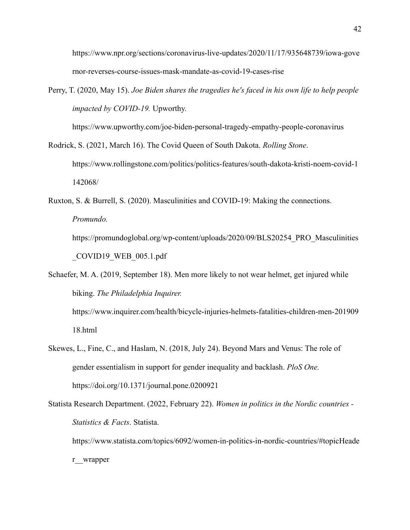https://www.npr.org/sections/coronavirus-live-updates/2020/11/17/935648739/iowa-gove rnor-reverses-course-issues-mask-mandate-as-covid-19-cases-rise

Perry, T. (2020, May 15). *Joe Biden shares the tragedies he's faced in his own life to help people impacted by COVID-19.* Upworthy.

https://www.upworthy.com/joe-biden-personal-tragedy-empathy-people-coronavirus

Rodrick, S. (2021, March 16). The Covid Queen of South Dakota. *Rolling Stone*. https://www.rollingstone.com/politics/politics-features/south-dakota-kristi-noem-covid-1 142068/

Ruxton, S. & Burrell, S. (2020). Masculinities and COVID-19: Making the connections. *Promundo.*

https://promundoglobal.org/wp-content/uploads/2020/09/BLS20254\_PRO\_Masculinities COVID19 WEB  $005.1$ .pdf

Schaefer, M. A. (2019, September 18). Men more likely to not wear helmet, get injured while biking. *The Philadelphia Inquirer.* https://www.inquirer.com/health/bicycle-injuries-helmets-fatalities-children-men-201909 18.html

Skewes, L., Fine, C., and Haslam, N. (2018, July 24). Beyond Mars and Venus: The role of gender essentialism in support for gender inequality and backlash. *PloS One.* https://doi.org/10.1371/journal.pone.0200921

Statista Research Department. (2022, February 22). *Women in politics in the Nordic countries - Statistics & Facts*. Statista.

https://www.statista.com/topics/6092/women-in-politics-in-nordic-countries/#topicHeade r\_\_wrapper